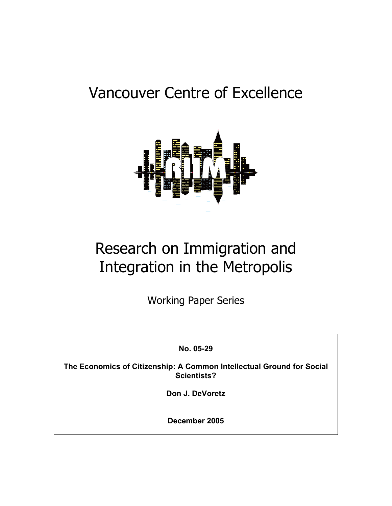# Vancouver Centre of Excellence



# Research on Immigration and Integration in the Metropolis

Working Paper Series

**No. 05-29** 

**The Economics of Citizenship: A Common Intellectual Ground for Social Scientists?** 

**Don J. DeVoretz** 

**December 2005**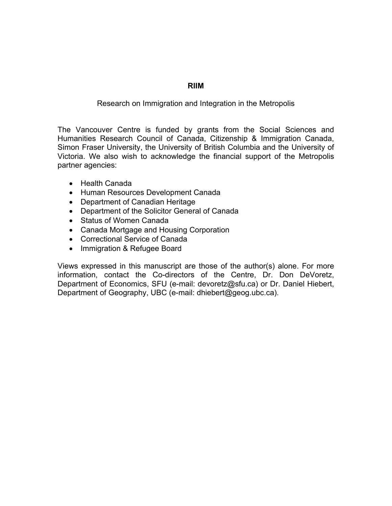# **RIIM**

# Research on Immigration and Integration in the Metropolis

The Vancouver Centre is funded by grants from the Social Sciences and Humanities Research Council of Canada, Citizenship & Immigration Canada, Simon Fraser University, the University of British Columbia and the University of Victoria. We also wish to acknowledge the financial support of the Metropolis partner agencies:

- Health Canada
- Human Resources Development Canada
- Department of Canadian Heritage
- Department of the Solicitor General of Canada
- Status of Women Canada
- Canada Mortgage and Housing Corporation
- Correctional Service of Canada
- Immigration & Refugee Board

Views expressed in this manuscript are those of the author(s) alone. For more information, contact the Co-directors of the Centre, Dr. Don DeVoretz, Department of Economics, SFU (e-mail: devoretz@sfu.ca) or Dr. Daniel Hiebert, Department of Geography, UBC (e-mail: dhiebert@geog.ubc.ca).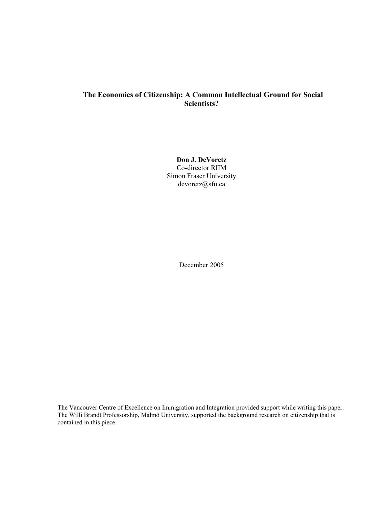# **The Economics of Citizenship: A Common Intellectual Ground for Social Scientists?**

**Don J. DeVoretz** Co-director RIIM Simon Fraser University devoretz@sfu.ca

December 2005

The Vancouver Centre of Excellence on Immigration and Integration provided support while writing this paper. The Willi Brandt Professorship, Malmö University, supported the background research on citizenship that is contained in this piece.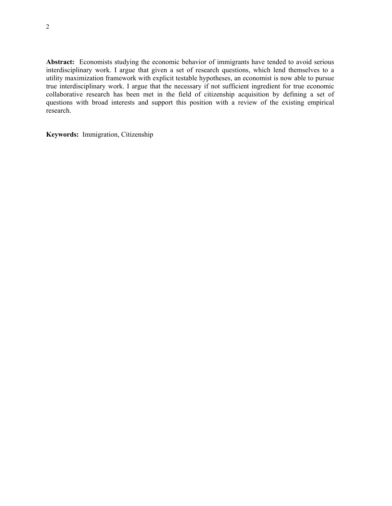**Abstract:** Economists studying the economic behavior of immigrants have tended to avoid serious interdisciplinary work. I argue that given a set of research questions, which lend themselves to a utility maximization framework with explicit testable hypotheses, an economist is now able to pursue true interdisciplinary work. I argue that the necessary if not sufficient ingredient for true economic collaborative research has been met in the field of citizenship acquisition by defining a set of questions with broad interests and support this position with a review of the existing empirical research.

**Keywords:** Immigration, Citizenship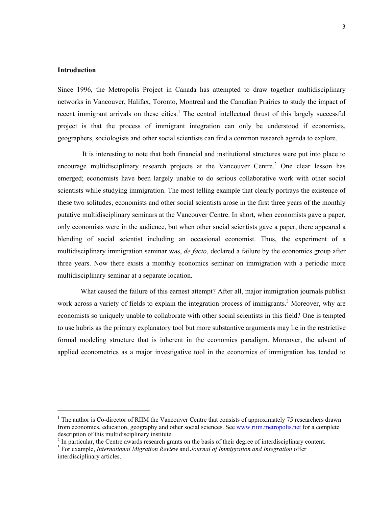## **Introduction**

l

Since 1996, the Metropolis Project in Canada has attempted to draw together multidisciplinary networks in Vancouver, Halifax, Toronto, Montreal and the Canadian Prairies to study the impact of recent immigrant arrivals on these cities.<sup>[1](#page-4-0)</sup> The central intellectual thrust of this largely successful project is that the process of immigrant integration can only be understood if economists, geographers, sociologists and other social scientists can find a common research agenda to explore.

 It is interesting to note that both financial and institutional structures were put into place to encouragemultidisciplinary research projects at the Vancouver Centre.<sup>2</sup> One clear lesson has emerged; economists have been largely unable to do serious collaborative work with other social scientists while studying immigration. The most telling example that clearly portrays the existence of these two solitudes, economists and other social scientists arose in the first three years of the monthly putative multidisciplinary seminars at the Vancouver Centre. In short, when economists gave a paper, only economists were in the audience, but when other social scientists gave a paper, there appeared a blending of social scientist including an occasional economist. Thus, the experiment of a multidisciplinary immigration seminar was, *de facto*, declared a failure by the economics group after three years. Now there exists a monthly economics seminar on immigration with a periodic more multidisciplinary seminar at a separate location.

What caused the failure of this earnest attempt? After all, major immigration journals publish work across a variety of fields to explain the integration process of immigrants.<sup>[3](#page-4-2)</sup> Moreover, why are economists so uniquely unable to collaborate with other social scientists in this field? One is tempted to use hubris as the primary explanatory tool but more substantive arguments may lie in the restrictive formal modeling structure that is inherent in the economics paradigm. Moreover, the advent of applied econometrics as a major investigative tool in the economics of immigration has tended to

<span id="page-4-0"></span><sup>&</sup>lt;sup>1</sup> The author is Co-director of RIIM the Vancouver Centre that consists of approximately 75 researchers drawn from economics, education, geography and other social sciences. See [www.riim.metropolis.net](http://www.riim.metropolis.net/) for a complete description of this multidisciplinary institute.

<span id="page-4-1"></span><sup>&</sup>lt;sup>2</sup> In particular, the Centre awards research grants on the basis of their degree of interdisciplinary content.

<span id="page-4-2"></span>For example, *International Migration Review* and *Journal of Immigration and Integration* offer interdisciplinary articles.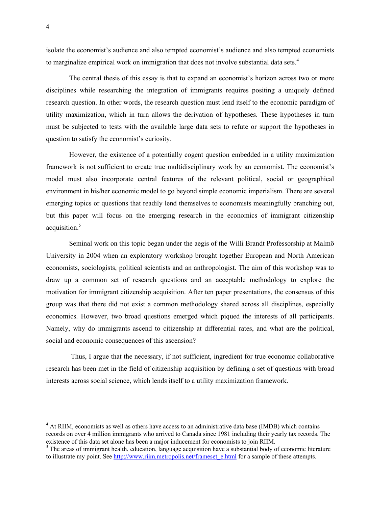isolate the economist's audience and also tempted economist's audience and also tempted economists to marginalize empirical work on immigration that does not involve substantial data sets.<sup>[4](#page-5-0)</sup>

The central thesis of this essay is that to expand an economist's horizon across two or more disciplines while researching the integration of immigrants requires positing a uniquely defined research question. In other words, the research question must lend itself to the economic paradigm of utility maximization, which in turn allows the derivation of hypotheses. These hypotheses in turn must be subjected to tests with the available large data sets to refute or support the hypotheses in question to satisfy the economist's curiosity.

However, the existence of a potentially cogent question embedded in a utility maximization framework is not sufficient to create true multidisciplinary work by an economist. The economist's model must also incorporate central features of the relevant political, social or geographical environment in his/her economic model to go beyond simple economic imperialism. There are several emerging topics or questions that readily lend themselves to economists meaningfully branching out, but this paper will focus on the emerging research in the economics of immigrant citizenship acquisition.<sup>5</sup>

Seminal work on this topic began under the aegis of the Willi Brandt Professorship at Malmö University in 2004 when an exploratory workshop brought together European and North American economists, sociologists, political scientists and an anthropologist. The aim of this workshop was to draw up a common set of research questions and an acceptable methodology to explore the motivation for immigrant citizenship acquisition. After ten paper presentations, the consensus of this group was that there did not exist a common methodology shared across all disciplines, especially economics. However, two broad questions emerged which piqued the interests of all participants. Namely, why do immigrants ascend to citizenship at differential rates, and what are the political, social and economic consequences of this ascension?

Thus, I argue that the necessary, if not sufficient, ingredient for true economic collaborative research has been met in the field of citizenship acquisition by defining a set of questions with broad interests across social science, which lends itself to a utility maximization framework.

<span id="page-5-0"></span> $\frac{1}{4}$ <sup>4</sup> At RIIM, economists as well as others have access to an administrative data base (IMDB) which contains records on over 4 million immigrants who arrived to Canada since 1981 including their yearly tax records. The existence of this data set alone has been a major inducement for economists to join RIIM.<br><sup>5</sup> The areas of immigrant health, education, language acquisition have a substantial body of economic literature

<span id="page-5-1"></span>to illustrate my point. See [http://www.riim.metropolis.net/frameset\\_e.html](http://www.riim.metropolis.net/frameset_e.html) for a sample of these attempts.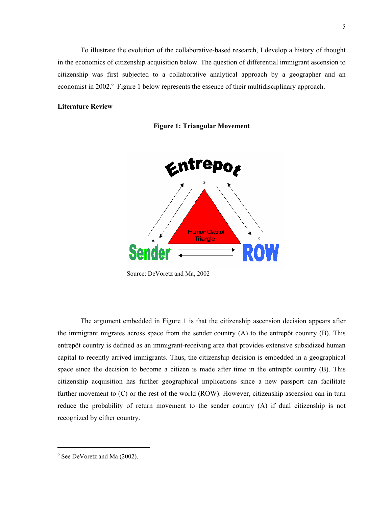To illustrate the evolution of the collaborative-based research, I develop a history of thought in the economics of citizenship acquisition below. The question of differential immigrant ascension to citizenship was first subjected to a collaborative analytical approach by a geographer and an economistin 2002.<sup>6</sup> Figure 1 below represents the essence of their multidisciplinary approach.

### **Literature Review**





Source: DeVoretz and Ma, 2002

The argument embedded in Figure 1 is that the citizenship ascension decision appears after the immigrant migrates across space from the sender country (A) to the entrepôt country (B). This entrepôt country is defined as an immigrant-receiving area that provides extensive subsidized human capital to recently arrived immigrants. Thus, the citizenship decision is embedded in a geographical space since the decision to become a citizen is made after time in the entrepôt country (B). This citizenship acquisition has further geographical implications since a new passport can facilitate further movement to (C) or the rest of the world (ROW). However, citizenship ascension can in turn reduce the probability of return movement to the sender country (A) if dual citizenship is not recognized by either country.

<span id="page-6-0"></span> $\frac{1}{6}$  $6$  See DeVoretz and Ma (2002).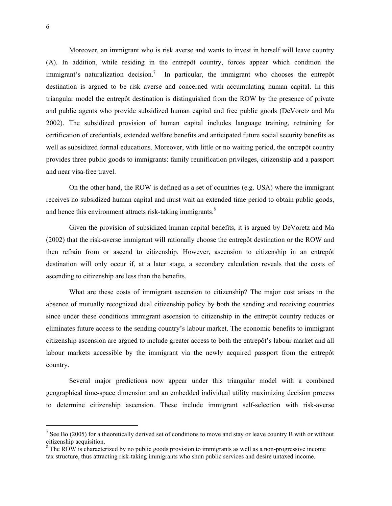Moreover, an immigrant who is risk averse and wants to invest in herself will leave country (A). In addition, while residing in the entrepôt country, forces appear which condition the immigrant's naturalization decision.<sup>[7](#page-7-0)</sup> In particular, the immigrant who chooses the entrepôt destination is argued to be risk averse and concerned with accumulating human capital. In this triangular model the entrepôt destination is distinguished from the ROW by the presence of private and public agents who provide subsidized human capital and free public goods (DeVoretz and Ma 2002). The subsidized provision of human capital includes language training, retraining for certification of credentials, extended welfare benefits and anticipated future social security benefits as well as subsidized formal educations. Moreover, with little or no waiting period, the entrepôt country provides three public goods to immigrants: family reunification privileges, citizenship and a passport and near visa-free travel.

On the other hand, the ROW is defined as a set of countries (e.g. USA) where the immigrant receives no subsidized human capital and must wait an extended time period to obtain public goods, and hence this environment attracts risk-taking immigrants.<sup>[8](#page-7-1)</sup>

Given the provision of subsidized human capital benefits, it is argued by DeVoretz and Ma (2002) that the risk-averse immigrant will rationally choose the entrepôt destination or the ROW and then refrain from or ascend to citizenship. However, ascension to citizenship in an entrepôt destination will only occur if, at a later stage, a secondary calculation reveals that the costs of ascending to citizenship are less than the benefits.

What are these costs of immigrant ascension to citizenship? The major cost arises in the absence of mutually recognized dual citizenship policy by both the sending and receiving countries since under these conditions immigrant ascension to citizenship in the entrepôt country reduces or eliminates future access to the sending country's labour market. The economic benefits to immigrant citizenship ascension are argued to include greater access to both the entrepôt's labour market and all labour markets accessible by the immigrant via the newly acquired passport from the entrepôt country.

Several major predictions now appear under this triangular model with a combined geographical time-space dimension and an embedded individual utility maximizing decision process to determine citizenship ascension. These include immigrant self-selection with risk-averse

<span id="page-7-0"></span><sup>-&</sup>lt;br>7  $\frac{7}{1}$  See Bo (2005) for a theoretically derived set of conditions to move and stay or leave country B with or without citizenship acquisition. 8

<span id="page-7-1"></span><sup>&</sup>lt;sup>8</sup> The ROW is characterized by no public goods provision to immigrants as well as a non-progressive income tax structure, thus attracting risk-taking immigrants who shun public services and desire untaxed income.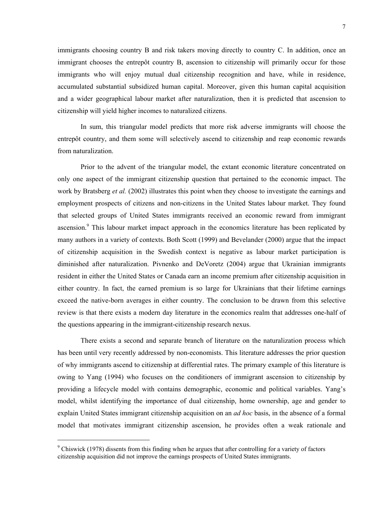immigrants choosing country B and risk takers moving directly to country C. In addition, once an immigrant chooses the entrepôt country B, ascension to citizenship will primarily occur for those immigrants who will enjoy mutual dual citizenship recognition and have, while in residence, accumulated substantial subsidized human capital. Moreover, given this human capital acquisition and a wider geographical labour market after naturalization, then it is predicted that ascension to citizenship will yield higher incomes to naturalized citizens.

In sum, this triangular model predicts that more risk adverse immigrants will choose the entrepôt country, and them some will selectively ascend to citizenship and reap economic rewards from naturalization.

Prior to the advent of the triangular model, the extant economic literature concentrated on only one aspect of the immigrant citizenship question that pertained to the economic impact. The work by Bratsberg *et al.* (2002) illustrates this point when they choose to investigate the earnings and employment prospects of citizens and non-citizens in the United States labour market. They found that selected groups of United States immigrants received an economic reward from immigrant ascension.<sup>[9](#page-8-0)</sup> This labour market impact approach in the economics literature has been replicated by many authors in a variety of contexts. Both Scott (1999) and Bevelander (2000) argue that the impact of citizenship acquisition in the Swedish context is negative as labour market participation is diminished after naturalization. Pivnenko and DeVoretz (2004) argue that Ukrainian immigrants resident in either the United States or Canada earn an income premium after citizenship acquisition in either country. In fact, the earned premium is so large for Ukrainians that their lifetime earnings exceed the native-born averages in either country. The conclusion to be drawn from this selective review is that there exists a modern day literature in the economics realm that addresses one-half of the questions appearing in the immigrant-citizenship research nexus.

There exists a second and separate branch of literature on the naturalization process which has been until very recently addressed by non-economists. This literature addresses the prior question of why immigrants ascend to citizenship at differential rates. The primary example of this literature is owing to Yang (1994) who focuses on the conditioners of immigrant ascension to citizenship by providing a lifecycle model with contains demographic, economic and political variables. Yang's model, whilst identifying the importance of dual citizenship, home ownership, age and gender to explain United States immigrant citizenship acquisition on an *ad hoc* basis, in the absence of a formal model that motivates immigrant citizenship ascension, he provides often a weak rationale and

l

<span id="page-8-0"></span><sup>&</sup>lt;sup>9</sup> Chiswick (1978) dissents from this finding when he argues that after controlling for a variety of factors citizenship acquisition did not improve the earnings prospects of United States immigrants.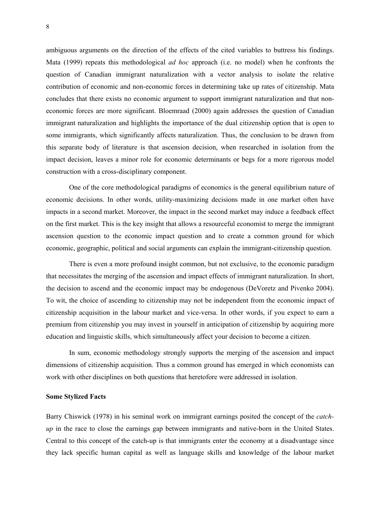ambiguous arguments on the direction of the effects of the cited variables to buttress his findings. Mata (1999) repeats this methodological *ad hoc* approach (i.e. no model) when he confronts the question of Canadian immigrant naturalization with a vector analysis to isolate the relative contribution of economic and non-economic forces in determining take up rates of citizenship. Mata concludes that there exists no economic argument to support immigrant naturalization and that noneconomic forces are more significant. Bloemraad (2000) again addresses the question of Canadian immigrant naturalization and highlights the importance of the dual citizenship option that is open to some immigrants, which significantly affects naturalization. Thus, the conclusion to be drawn from this separate body of literature is that ascension decision, when researched in isolation from the impact decision, leaves a minor role for economic determinants or begs for a more rigorous model construction with a cross-disciplinary component.

One of the core methodological paradigms of economics is the general equilibrium nature of economic decisions. In other words, utility-maximizing decisions made in one market often have impacts in a second market. Moreover, the impact in the second market may induce a feedback effect on the first market. This is the key insight that allows a resourceful economist to merge the immigrant ascension question to the economic impact question and to create a common ground for which economic, geographic, political and social arguments can explain the immigrant-citizenship question.

There is even a more profound insight common, but not exclusive, to the economic paradigm that necessitates the merging of the ascension and impact effects of immigrant naturalization. In short, the decision to ascend and the economic impact may be endogenous (DeVoretz and Pivenko 2004). To wit, the choice of ascending to citizenship may not be independent from the economic impact of citizenship acquisition in the labour market and vice-versa. In other words, if you expect to earn a premium from citizenship you may invest in yourself in anticipation of citizenship by acquiring more education and linguistic skills, which simultaneously affect your decision to become a citizen.

In sum, economic methodology strongly supports the merging of the ascension and impact dimensions of citizenship acquisition. Thus a common ground has emerged in which economists can work with other disciplines on both questions that heretofore were addressed in isolation.

#### **Some Stylized Facts**

Barry Chiswick (1978) in his seminal work on immigrant earnings posited the concept of the *catchup* in the race to close the earnings gap between immigrants and native-born in the United States. Central to this concept of the catch-up is that immigrants enter the economy at a disadvantage since they lack specific human capital as well as language skills and knowledge of the labour market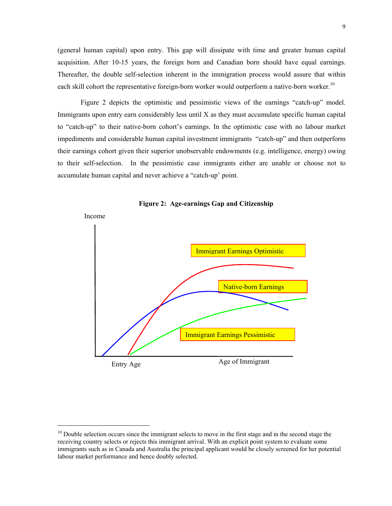(general human capital) upon entry. This gap will dissipate with time and greater human capital acquisition. After 10-15 years, the foreign born and Canadian born should have equal earnings. Thereafter, the double self-selection inherent in the immigration process would assure that within each skill cohort the representative foreign-born worker would outperform a native-born worker.<sup>10</sup>

Figure 2 depicts the optimistic and pessimistic views of the earnings "catch-up" model. Immigrants upon entry earn considerably less until X as they must accumulate specific human capital to "catch-up" to their native-born cohort's earnings. In the optimistic case with no labour market impediments and considerable human capital investment immigrants "catch-up" and then outperform their earnings cohort given their superior unobservable endowments (e.g. intelligence, energy) owing to their self-selection. In the pessimistic case immigrants either are unable or choose not to accumulate human capital and never achieve a "catch-up' point.





<span id="page-10-0"></span><sup>&</sup>lt;sup>10</sup> Double selection occurs since the immigrant selects to move in the first stage and in the second stage the receiving country selects or rejects this immigrant arrival. With an explicit point system to evaluate some immigrants such as in Canada and Australia the principal applicant would be closely screened for her potential labour market performance and hence doubly selected.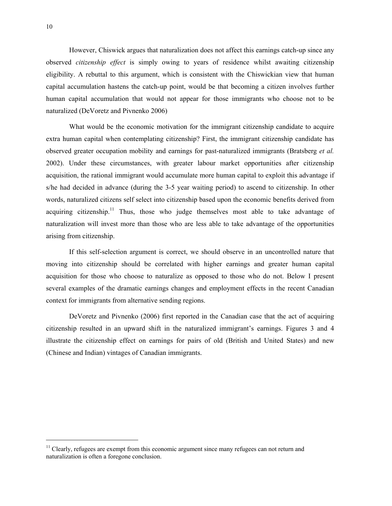However, Chiswick argues that naturalization does not affect this earnings catch-up since any observed *citizenship effect* is simply owing to years of residence whilst awaiting citizenship eligibility. A rebuttal to this argument, which is consistent with the Chiswickian view that human capital accumulation hastens the catch-up point, would be that becoming a citizen involves further human capital accumulation that would not appear for those immigrants who choose not to be naturalized (DeVoretz and Pivnenko 2006)

What would be the economic motivation for the immigrant citizenship candidate to acquire extra human capital when contemplating citizenship? First, the immigrant citizenship candidate has observed greater occupation mobility and earnings for past-naturalized immigrants (Bratsberg *et al.* 2002). Under these circumstances, with greater labour market opportunities after citizenship acquisition, the rational immigrant would accumulate more human capital to exploit this advantage if s/he had decided in advance (during the 3-5 year waiting period) to ascend to citizenship. In other words, naturalized citizens self select into citizenship based upon the economic benefits derived from acquiring citizenship.<sup>11</sup> Thus, those who judge themselves most able to take advantage of naturalization will invest more than those who are less able to take advantage of the opportunities arising from citizenship.

If this self-selection argument is correct, we should observe in an uncontrolled nature that moving into citizenship should be correlated with higher earnings and greater human capital acquisition for those who choose to naturalize as opposed to those who do not. Below I present several examples of the dramatic earnings changes and employment effects in the recent Canadian context for immigrants from alternative sending regions.

DeVoretz and Pivnenko (2006) first reported in the Canadian case that the act of acquiring citizenship resulted in an upward shift in the naturalized immigrant's earnings. Figures 3 and 4 illustrate the citizenship effect on earnings for pairs of old (British and United States) and new (Chinese and Indian) vintages of Canadian immigrants.

<span id="page-11-0"></span> $<sup>11</sup>$  Clearly, refugees are exempt from this economic argument since many refugees can not return and</sup> naturalization is often a foregone conclusion.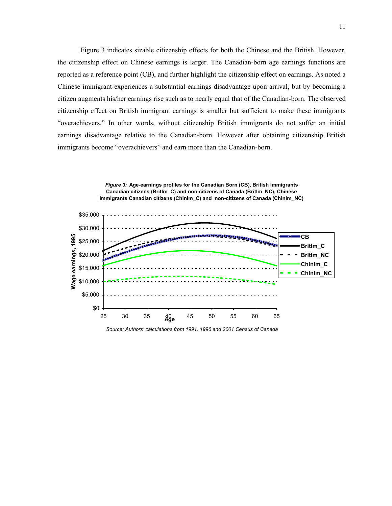Figure 3 indicates sizable citizenship effects for both the Chinese and the British. However, the citizenship effect on Chinese earnings is larger. The Canadian-born age earnings functions are reported as a reference point (CB), and further highlight the citizenship effect on earnings. As noted a Chinese immigrant experiences a substantial earnings disadvantage upon arrival, but by becoming a citizen augments his/her earnings rise such as to nearly equal that of the Canadian-born. The observed citizenship effect on British immigrant earnings is smaller but sufficient to make these immigrants "overachievers." In other words, without citizenship British immigrants do not suffer an initial earnings disadvantage relative to the Canadian-born. However after obtaining citizenship British immigrants become "overachievers" and earn more than the Canadian-born.



*Source: Authors' calculations from 1991, 1996 and 2001 Census of Canada*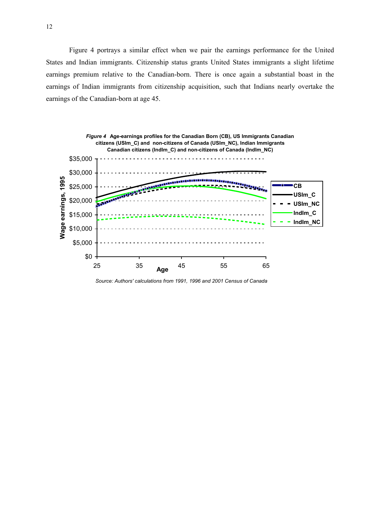Figure 4 portrays a similar effect when we pair the earnings performance for the United States and Indian immigrants. Citizenship status grants United States immigrants a slight lifetime earnings premium relative to the Canadian-born. There is once again a substantial boast in the earnings of Indian immigrants from citizenship acquisition, such that Indians nearly overtake the earnings of the Canadian-born at age 45.



*Source: Authors' calculations from 1991, 1996 and 2001 Census of Canada*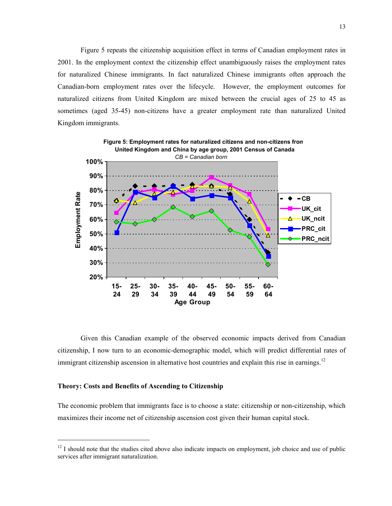Figure 5 repeats the citizenship acquisition effect in terms of Canadian employment rates in 2001. In the employment context the citizenship effect unambiguously raises the employment rates for naturalized Chinese immigrants. In fact naturalized Chinese immigrants often approach the Canadian-born employment rates over the lifecycle. However, the employment outcomes for naturalized citizens from United Kingdom are mixed between the crucial ages of 25 to 45 as sometimes (aged 35-45) non-citizens have a greater employment rate than naturalized United Kingdom immigrants.



Given this Canadian example of the observed economic impacts derived from Canadian citizenship, I now turn to an economic-demographic model, which will predict differential rates of immigrant citizenship ascension in alternative host countries and explain this rise in earnings.<sup>[12](#page-14-0)</sup>

#### **Theory: Costs and Benefits of Ascending to Citizenship**

The economic problem that immigrants face is to choose a state: citizenship or non-citizenship, which maximizes their income net of citizenship ascension cost given their human capital stock.

<span id="page-14-0"></span><sup>&</sup>lt;sup>12</sup> I should note that the studies cited above also indicate impacts on employment, job choice and use of public services after immigrant naturalization.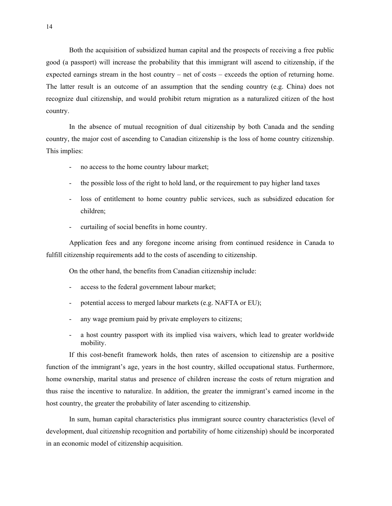Both the acquisition of subsidized human capital and the prospects of receiving a free public good (a passport) will increase the probability that this immigrant will ascend to citizenship, if the expected earnings stream in the host country – net of costs – exceeds the option of returning home. The latter result is an outcome of an assumption that the sending country (e.g. China) does not recognize dual citizenship, and would prohibit return migration as a naturalized citizen of the host country.

In the absence of mutual recognition of dual citizenship by both Canada and the sending country, the major cost of ascending to Canadian citizenship is the loss of home country citizenship. This implies:

- no access to the home country labour market;
- the possible loss of the right to hold land, or the requirement to pay higher land taxes
- loss of entitlement to home country public services, such as subsidized education for children;
- curtailing of social benefits in home country.

Application fees and any foregone income arising from continued residence in Canada to fulfill citizenship requirements add to the costs of ascending to citizenship.

On the other hand, the benefits from Canadian citizenship include:

- access to the federal government labour market;
- potential access to merged labour markets (e.g. NAFTA or EU);
- any wage premium paid by private employers to citizens;
- a host country passport with its implied visa waivers, which lead to greater worldwide mobility.

If this cost-benefit framework holds, then rates of ascension to citizenship are a positive function of the immigrant's age, years in the host country, skilled occupational status. Furthermore, home ownership, marital status and presence of children increase the costs of return migration and thus raise the incentive to naturalize. In addition, the greater the immigrant's earned income in the host country, the greater the probability of later ascending to citizenship.

In sum, human capital characteristics plus immigrant source country characteristics (level of development, dual citizenship recognition and portability of home citizenship) should be incorporated in an economic model of citizenship acquisition.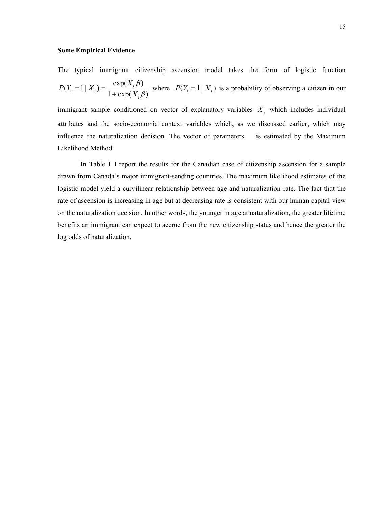#### **Some Empirical Evidence**

The typical immigration citizenship ascension model takes the form of logistic function  

$$
P(Y_i = 1 | X_i) = \frac{\exp(X_i \beta)}{1 + \exp(X_i \beta)}
$$
 where  $P(Y_i = 1 | X_i)$  is a probability of observing a citizen in our

immigrant sample conditioned on vector of explanatory variables  $X_i$  which includes individual attributes and the socio-economic context variables which, as we discussed earlier, which may influence the naturalization decision. The vector of parameters is estimated by the Maximum Likelihood Method.

In Table 1 I report the results for the Canadian case of citizenship ascension for a sample drawn from Canada's major immigrant-sending countries. The maximum likelihood estimates of the logistic model yield a curvilinear relationship between age and naturalization rate. The fact that the rate of ascension is increasing in age but at decreasing rate is consistent with our human capital view on the naturalization decision. In other words, the younger in age at naturalization, the greater lifetime benefits an immigrant can expect to accrue from the new citizenship status and hence the greater the log odds of naturalization.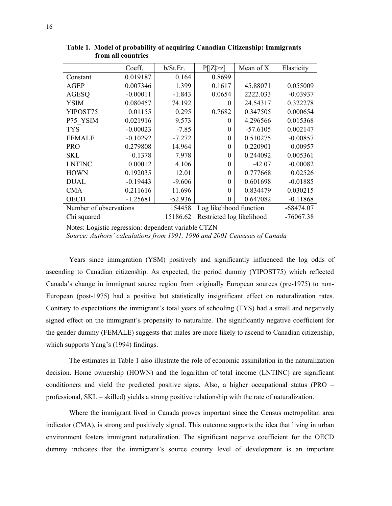|                        | Coeff.     | b/St.Er.  | P[ Z >z]                  | Mean of X  | Elasticity  |
|------------------------|------------|-----------|---------------------------|------------|-------------|
| Constant               | 0.019187   | 0.164     | 0.8699                    |            |             |
| <b>AGEP</b>            | 0.007346   | 1.399     | 0.1617                    | 45.88071   | 0.055009    |
| <b>AGESQ</b>           | $-0.00011$ | $-1.843$  | 0.0654                    | 2222.033   | $-0.03937$  |
| <b>YSIM</b>            | 0.080457   | 74.192    | $\theta$                  | 24.54317   | 0.322278    |
| YIPOST75               | 0.01155    | 0.295     | 0.7682                    | 0.347505   | 0.000654    |
| P75 YSIM               | 0.021916   | 9.573     | 0                         | 4.296566   | 0.015368    |
| <b>TYS</b>             | $-0.00023$ | $-7.85$   | $\Omega$                  | $-57.6105$ | 0.002147    |
| <b>FEMALE</b>          | $-0.10292$ | $-7.272$  | 0                         | 0.510275   | $-0.00857$  |
| <b>PRO</b>             | 0.279808   | 14.964    | 0                         | 0.220901   | 0.00957     |
| <b>SKL</b>             | 0.1378     | 7.978     | 0                         | 0.244092   | 0.005361    |
| <b>LNTINC</b>          | 0.00012    | 4.106     | 0                         | $-42.07$   | $-0.00082$  |
| <b>HOWN</b>            | 0.192035   | 12.01     | $\theta$                  | 0.777668   | 0.02526     |
| <b>DUAL</b>            | $-0.19443$ | $-9.606$  | 0                         | 0.601698   | $-0.01885$  |
| <b>CMA</b>             | 0.211616   | 11.696    | 0                         | 0.834479   | 0.030215    |
| <b>OECD</b>            | $-1.25681$ | $-52.936$ | 0                         | 0.647082   | $-0.11868$  |
| Number of observations |            | 154458    | Log likelihood function   |            | $-68474.07$ |
| Chi squared            |            | 15186.62  | Restricted log likelihood |            | $-76067.38$ |

**Table 1. Model of probability of acquiring Canadian Citizenship: Immigrants from all countries**

Notes: Logistic regression: dependent variable CTZN

*Source: Authors' calculations from 1991, 1996 and 2001 Censuses of Canada*

Years since immigration (YSM) positively and significantly influenced the log odds of ascending to Canadian citizenship. As expected, the period dummy (YIPOST75) which reflected Canada's change in immigrant source region from originally European sources (pre-1975) to non-European (post-1975) had a positive but statistically insignificant effect on naturalization rates. Contrary to expectations the immigrant's total years of schooling (TYS) had a small and negatively signed effect on the immigrant's propensity to naturalize. The significantly negative coefficient for the gender dummy (FEMALE) suggests that males are more likely to ascend to Canadian citizenship, which supports Yang's (1994) findings.

The estimates in Table 1 also illustrate the role of economic assimilation in the naturalization decision. Home ownership (HOWN) and the logarithm of total income (LNTINC) are significant conditioners and yield the predicted positive signs. Also, a higher occupational status (PRO – professional, SKL – skilled) yields a strong positive relationship with the rate of naturalization.

Where the immigrant lived in Canada proves important since the Census metropolitan area indicator (CMA), is strong and positively signed. This outcome supports the idea that living in urban environment fosters immigrant naturalization. The significant negative coefficient for the OECD dummy indicates that the immigrant's source country level of development is an important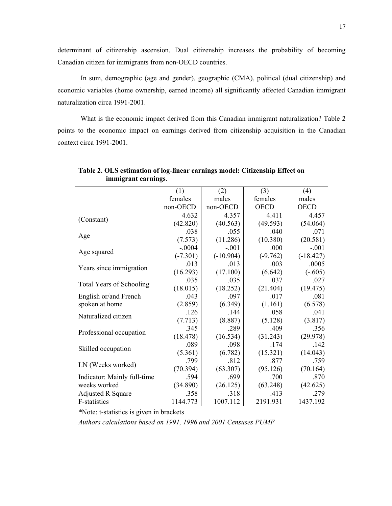determinant of citizenship ascension. Dual citizenship increases the probability of becoming Canadian citizen for immigrants from non-OECD countries.

In sum, demographic (age and gender), geographic (CMA), political (dual citizenship) and economic variables (home ownership, earned income) all significantly affected Canadian immigrant naturalization circa 1991-2001.

What is the economic impact derived from this Canadian immigrant naturalization? Table 2 points to the economic impact on earnings derived from citizenship acquisition in the Canadian context circa 1991-2001.

|                                 | (1)        | (2)         | (3)         | (4)         |
|---------------------------------|------------|-------------|-------------|-------------|
|                                 | females    | males       | females     | males       |
|                                 | non-OECD   | non-OECD    | <b>OECD</b> | <b>OECD</b> |
|                                 | 4.632      | 4.357       | 4.411       | 4.457       |
| (Constant)                      | (42.820)   | (40.563)    | (49.593)    | (54.064)    |
|                                 | .038       | .055        | .040        | .071        |
| Age                             | (7.573)    | (11.286)    | (10.380)    | (20.581)    |
|                                 | $-.0004$   | $-.001$     | .000        | $-.001$     |
| Age squared                     | $(-7.301)$ | $(-10.904)$ | $(-9.762)$  | $(-18.427)$ |
|                                 | .013       | .013        | .003        | .0005       |
| Years since immigration         | (16.293)   | (17.100)    | (6.642)     | $(-.605)$   |
|                                 | .035       | .035        | .037        | .027        |
| <b>Total Years of Schooling</b> | (18.015)   | (18.252)    | (21.404)    | (19.475)    |
| English or/and French           | .043       | .097        | .017        | .081        |
| spoken at home                  | (2.859)    | (6.349)     | (1.161)     | (6.578)     |
| Naturalized citizen             | .126       | .144        | .058        | .041        |
|                                 | (7.713)    | (8.887)     | (5.128)     | (3.817)     |
|                                 | .345       | .289        | .409        | .356        |
| Professional occupation         | (18.478)   | (16.534)    | (31.243)    | (29.978)    |
|                                 | .089       | .098        | .174        | .142        |
| Skilled occupation              | (5.361)    | (6.782)     | (15.321)    | (14.043)    |
|                                 | .799       | .812        | .877        | .759        |
| LN (Weeks worked)               | (70.394)   | (63.307)    | (95.126)    | (70.164)    |
| Indicator: Mainly full-time     | .594       | .699        | .700        | .870        |
| weeks worked                    | (34.890)   | (26.125)    | (63.248)    | (42.625)    |
| <b>Adjusted R Square</b>        | .358       | .318        | .413        | .279        |
| F-statistics                    | 1144.773   | 1007.112    | 2191.931    | 1437.192    |

**Table 2. OLS estimation of log-linear earnings model: Citizenship Effect on immigrant earnings**.

*\**Note: t-statistics is given in brackets

*Authors calculations based on 1991, 1996 and 2001 Censuses PUMF*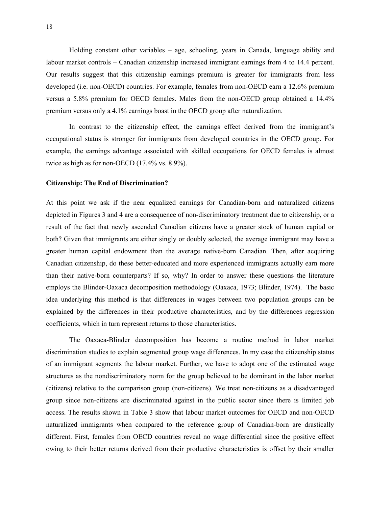Holding constant other variables – age, schooling, years in Canada, language ability and labour market controls – Canadian citizenship increased immigrant earnings from 4 to 14.4 percent. Our results suggest that this citizenship earnings premium is greater for immigrants from less developed (i.e. non-OECD) countries. For example, females from non-OECD earn a 12.6% premium versus a 5.8% premium for OECD females. Males from the non-OECD group obtained a 14.4% premium versus only a 4.1% earnings boast in the OECD group after naturalization.

In contrast to the citizenship effect, the earnings effect derived from the immigrant's occupational status is stronger for immigrants from developed countries in the OECD group. For example, the earnings advantage associated with skilled occupations for OECD females is almost twice as high as for non-OECD (17.4% vs. 8.9%).

### **Citizenship: The End of Discrimination?**

At this point we ask if the near equalized earnings for Canadian-born and naturalized citizens depicted in Figures 3 and 4 are a consequence of non-discriminatory treatment due to citizenship, or a result of the fact that newly ascended Canadian citizens have a greater stock of human capital or both? Given that immigrants are either singly or doubly selected, the average immigrant may have a greater human capital endowment than the average native-born Canadian. Then, after acquiring Canadian citizenship, do these better-educated and more experienced immigrants actually earn more than their native-born counterparts? If so, why? In order to answer these questions the literature employs the Blinder-Oaxaca decomposition methodology (Oaxaca, 1973; Blinder, 1974). The basic idea underlying this method is that differences in wages between two population groups can be explained by the differences in their productive characteristics, and by the differences regression coefficients, which in turn represent returns to those characteristics.

The Oaxaca-Blinder decomposition has become a routine method in labor market discrimination studies to explain segmented group wage differences. In my case the citizenship status of an immigrant segments the labour market. Further, we have to adopt one of the estimated wage structures as the nondiscriminatory norm for the group believed to be dominant in the labor market (citizens) relative to the comparison group (non-citizens). We treat non-citizens as a disadvantaged group since non-citizens are discriminated against in the public sector since there is limited job access. The results shown in Table 3 show that labour market outcomes for OECD and non-OECD naturalized immigrants when compared to the reference group of Canadian-born are drastically different. First, females from OECD countries reveal no wage differential since the positive effect owing to their better returns derived from their productive characteristics is offset by their smaller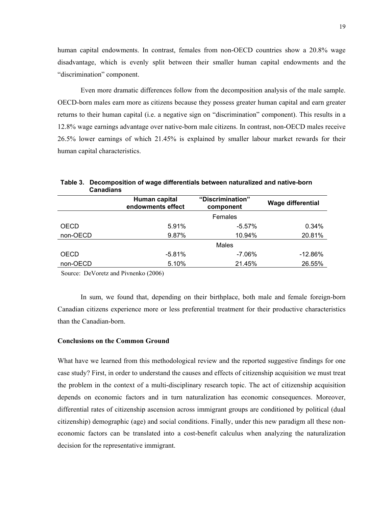human capital endowments. In contrast, females from non-OECD countries show a 20.8% wage disadvantage, which is evenly split between their smaller human capital endowments and the "discrimination" component.

Even more dramatic differences follow from the decomposition analysis of the male sample. OECD-born males earn more as citizens because they possess greater human capital and earn greater returns to their human capital (i.e. a negative sign on "discrimination" component). This results in a 12.8% wage earnings advantage over native-born male citizens. In contrast, non-OECD males receive 26.5% lower earnings of which 21.45% is explained by smaller labour market rewards for their human capital characteristics.

|             | Human capital<br>endowments effect | "Discrimination"<br>component | <b>Wage differential</b> |
|-------------|------------------------------------|-------------------------------|--------------------------|
|             |                                    | Females                       |                          |
| <b>OECD</b> | 5.91%                              | $-5.57%$                      | 0.34%                    |
| non-OECD    | 9.87%                              | 10.94%                        | 20.81%                   |
|             |                                    | Males                         |                          |
| <b>OECD</b> | $-5.81%$                           | $-7.06\%$                     | $-12.86%$                |
| non-OECD    | 5.10%                              | 21.45%                        | 26.55%                   |

**Table 3. Decomposition of wage differentials between naturalized and native-born Canadians** 

Source: DeVoretz and Pivnenko (2006)

In sum, we found that, depending on their birthplace, both male and female foreign-born Canadian citizens experience more or less preferential treatment for their productive characteristics than the Canadian-born.

## **Conclusions on the Common Ground**

What have we learned from this methodological review and the reported suggestive findings for one case study? First, in order to understand the causes and effects of citizenship acquisition we must treat the problem in the context of a multi-disciplinary research topic. The act of citizenship acquisition depends on economic factors and in turn naturalization has economic consequences. Moreover, differential rates of citizenship ascension across immigrant groups are conditioned by political (dual citizenship) demographic (age) and social conditions. Finally, under this new paradigm all these noneconomic factors can be translated into a cost-benefit calculus when analyzing the naturalization decision for the representative immigrant.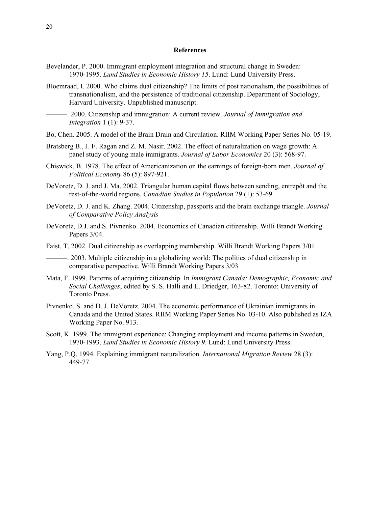#### **References**

- Bevelander, P. 2000. Immigrant employment integration and structural change in Sweden: 1970-1995. *Lund Studies in Economic History 15*. Lund: Lund University Press.
- Bloemraad, I. 2000. Who claims dual citizenship? The limits of post nationalism, the possibilities of transnationalism, and the persistence of traditional citizenship. Department of Sociology, Harvard University. Unpublished manuscript.
	- ———. 2000. Citizenship and immigration: A current review. *Journal of Immigration and Integration* 1 (1): 9-37.

Bo, Chen. 2005. A model of the Brain Drain and Circulation. RIIM Working Paper Series No. 05-19.

- Bratsberg B., J. F. Ragan and Z. M. Nasir. 2002. The effect of naturalization on wage growth: A panel study of young male immigrants. *Journal of Labor Economics* 20 (3): 568-97.
- Chiswick, B. 1978. The effect of Americanization on the earnings of foreign-born men. *Journal of Political Economy* 86 (5): 897-921.
- DeVoretz, D. J. and J. Ma. 2002. Triangular human capital flows between sending, entrepôt and the rest-of-the-world regions. *Canadian Studies in Population* 29 (1): 53-69.
- DeVoretz, D. J. and K. Zhang. 2004. Citizenship, passports and the brain exchange triangle. *Journal of Comparative Policy Analysis*
- DeVoretz, D.J. and S. Pivnenko. 2004. Economics of Canadian citizenship. Willi Brandt Working Papers 3/04.
- Faist, T. 2002. Dual citizenship as overlapping membership. Willi Brandt Working Papers 3/01

———. 2003. Multiple citizenship in a globalizing world: The politics of dual citizenship in comparative perspective. Willi Brandt Working Papers 3/03

- Mata, F. 1999. Patterns of acquiring citizenship. In *Immigrant Canada: Demographic, Economic and Social Challenges*, edited by S. S. Halli and L. Driedger, 163-82. Toronto: University of Toronto Press.
- Pivnenko, S. and D. J. DeVoretz. 2004. The economic performance of Ukrainian immigrants in Canada and the United States. RIIM Working Paper Series No. 03-10. Also published as IZA Working Paper No. 913.
- Scott, K. 1999. The immigrant experience: Changing employment and income patterns in Sweden, 1970-1993. *Lund Studies in Economic History 9*. Lund: Lund University Press.
- Yang, P.Q. 1994. Explaining immigrant naturalization. *International Migration Review* 28 (3): 449-77.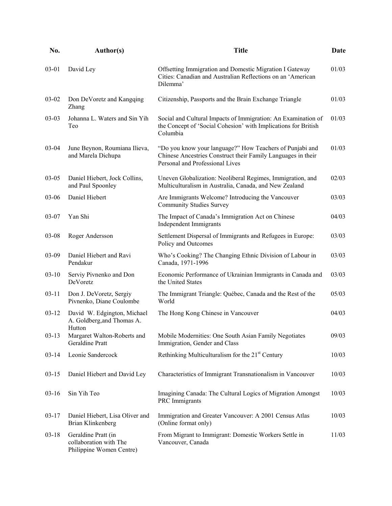| <b>Author(s)</b>                                                          | <b>Title</b>                                                                                                                                                | Date                                                  |
|---------------------------------------------------------------------------|-------------------------------------------------------------------------------------------------------------------------------------------------------------|-------------------------------------------------------|
| David Ley                                                                 | Offsetting Immigration and Domestic Migration I Gateway<br>Cities: Canadian and Australian Reflections on an 'American<br>Dilemma'                          | 01/03                                                 |
| Don DeVoretz and Kangqing<br>Zhang                                        | Citizenship, Passports and the Brain Exchange Triangle                                                                                                      | 01/03                                                 |
| Johanna L. Waters and Sin Yih<br>Teo                                      | Social and Cultural Impacts of Immigration: An Examination of<br>the Concept of 'Social Cohesion' with Implications for British<br>Columbia                 | 01/03                                                 |
| June Beynon, Roumiana Ilieva,<br>and Marela Dichupa                       | "Do you know your language?" How Teachers of Punjabi and<br>Chinese Ancestries Construct their Family Languages in their<br>Personal and Professional Lives | 01/03                                                 |
| Daniel Hiebert, Jock Collins,<br>and Paul Spoonley                        | Uneven Globalization: Neoliberal Regimes, Immigration, and<br>Multiculturalism in Australia, Canada, and New Zealand                                        | 02/03                                                 |
| Daniel Hiebert                                                            | Are Immigrants Welcome? Introducing the Vancouver<br><b>Community Studies Survey</b>                                                                        | 03/03                                                 |
| Yan Shi                                                                   | The Impact of Canada's Immigration Act on Chinese<br><b>Independent Immigrants</b>                                                                          | 04/03                                                 |
| Roger Andersson                                                           | Settlement Dispersal of Immigrants and Refugees in Europe:<br>Policy and Outcomes                                                                           | 03/03                                                 |
| Daniel Hiebert and Ravi<br>Pendakur                                       | Who's Cooking? The Changing Ethnic Division of Labour in<br>Canada, 1971-1996                                                                               | 03/03                                                 |
| Serviy Pivnenko and Don<br>DeVoretz                                       | Economic Performance of Ukrainian Immigrants in Canada and<br>the United States                                                                             | 03/03                                                 |
| Don J. DeVoretz, Sergiy<br>Pivnenko, Diane Coulombe                       | The Immigrant Triangle: Québec, Canada and the Rest of the<br>World                                                                                         | 05/03                                                 |
| David W. Edgington, Michael<br>A. Goldberg, and Thomas A.                 | The Hong Kong Chinese in Vancouver                                                                                                                          | 04/03                                                 |
| Margaret Walton-Roberts and<br>Geraldine Pratt                            | Immigration, Gender and Class                                                                                                                               | 09/03                                                 |
| Leonie Sandercock                                                         | Rethinking Multiculturalism for the 21 <sup>st</sup> Century                                                                                                | 10/03                                                 |
| Daniel Hiebert and David Ley                                              | Characteristics of Immigrant Transnationalism in Vancouver                                                                                                  | 10/03                                                 |
| Sin Yih Teo                                                               | Imagining Canada: The Cultural Logics of Migration Amongst<br>PRC Immigrants                                                                                | 10/03                                                 |
| Daniel Hiebert, Lisa Oliver and<br>Brian Klinkenberg                      | Immigration and Greater Vancouver: A 2001 Census Atlas<br>(Online format only)                                                                              | 10/03                                                 |
| Geraldine Pratt (in<br>collaboration with The<br>Philippine Women Centre) | From Migrant to Immigrant: Domestic Workers Settle in<br>Vancouver, Canada                                                                                  | 11/03                                                 |
|                                                                           | Hutton                                                                                                                                                      | Mobile Modernities: One South Asian Family Negotiates |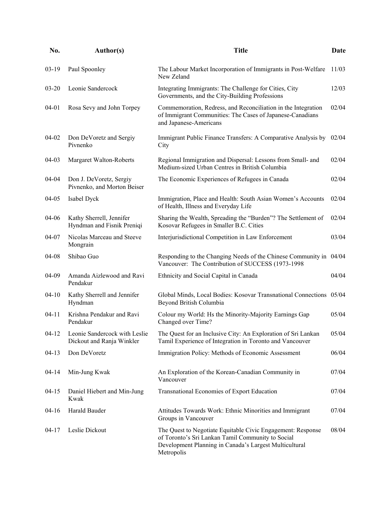| No.       | Author(s)                                                        | <b>Title</b>                                                                                                                                                                             | Date  |
|-----------|------------------------------------------------------------------|------------------------------------------------------------------------------------------------------------------------------------------------------------------------------------------|-------|
| $03-19$   | Paul Spoonley                                                    | The Labour Market Incorporation of Immigrants in Post-Welfare<br>New Zeland                                                                                                              | 11/03 |
| $03 - 20$ | Leonie Sandercock                                                | Integrating Immigrants: The Challenge for Cities, City<br>Governments, and the City-Building Professions                                                                                 | 12/03 |
| 04-01     | Rosa Sevy and John Torpey                                        | Commemoration, Redress, and Reconciliation in the Integration<br>of Immigrant Communities: The Cases of Japanese-Canadians<br>and Japanese-Americans                                     | 02/04 |
| 04-02     | Don DeVoretz and Sergiy<br>Pivnenko                              | Immigrant Public Finance Transfers: A Comparative Analysis by<br>City                                                                                                                    | 02/04 |
| 04-03     | Margaret Walton-Roberts                                          | Regional Immigration and Dispersal: Lessons from Small- and<br>Medium-sized Urban Centres in British Columbia                                                                            | 02/04 |
| 04-04     | Don J. DeVoretz, Sergiy<br>Pivnenko, and Morton Beiser           | The Economic Experiences of Refugees in Canada                                                                                                                                           | 02/04 |
| 04-05     | Isabel Dyck                                                      | Immigration, Place and Health: South Asian Women's Accounts<br>of Health, Illness and Everyday Life                                                                                      | 02/04 |
| 04-06     | Kathy Sherrell, Jennifer<br>Hyndman and Fisnik Preniqi           | Sharing the Wealth, Spreading the "Burden"? The Settlement of<br>Kosovar Refugees in Smaller B.C. Cities                                                                                 | 02/04 |
| 04-07     | Nicolas Marceau and Steeve<br>Mongrain                           | Interjurisdictional Competition in Law Enforcement                                                                                                                                       | 03/04 |
| 04-08     | Shibao Guo                                                       | Responding to the Changing Needs of the Chinese Community in 04/04<br>Vancouver: The Contribution of SUCCESS (1973-1998)                                                                 |       |
| 04-09     | Amanda Aizlewood and Ravi<br>Pendakur                            | Ethnicity and Social Capital in Canada                                                                                                                                                   | 04/04 |
| $04 - 10$ | Kathy Sherrell and Jennifer<br>Hyndman                           | Global Minds, Local Bodies: Kosovar Transnational Connections 05/04<br>Beyond British Columbia                                                                                           |       |
| $04 - 11$ | Krishna Pendakur and Ravi<br>Pendakur                            | Colour my World: Hs the Minority-Majority Earnings Gap<br>Changed over Time?                                                                                                             | 05/04 |
|           | 04-12 Leonie Sandercock with Leslie<br>Dickout and Ranja Winkler | The Quest for an Inclusive City: An Exploration of Sri Lankan<br>Tamil Experience of Integration in Toronto and Vancouver                                                                | 05/04 |
| $04-13$   | Don DeVoretz                                                     | Immigration Policy: Methods of Economic Assessment                                                                                                                                       | 06/04 |
| $04 - 14$ | Min-Jung Kwak                                                    | An Exploration of the Korean-Canadian Community in<br>Vancouver                                                                                                                          | 07/04 |
| $04 - 15$ | Daniel Hiebert and Min-Jung<br>Kwak                              | Transnational Economies of Export Education                                                                                                                                              | 07/04 |
| $04-16$   | Harald Bauder                                                    | Attitudes Towards Work: Ethnic Minorities and Immigrant<br>Groups in Vancouver                                                                                                           | 07/04 |
| $04 - 17$ | Leslie Dickout                                                   | The Quest to Negotiate Equitable Civic Engagement: Response<br>of Toronto's Sri Lankan Tamil Community to Social<br>Development Planning in Canada's Largest Multicultural<br>Metropolis | 08/04 |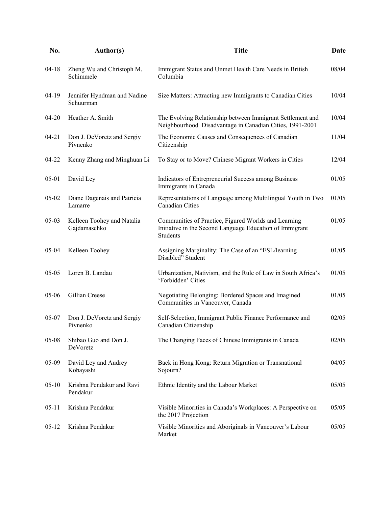| No.       | <b>Author(s)</b>                           | <b>Title</b>                                                                                                                        | Date  |
|-----------|--------------------------------------------|-------------------------------------------------------------------------------------------------------------------------------------|-------|
| $04 - 18$ | Zheng Wu and Christoph M.<br>Schimmele     | Immigrant Status and Unmet Health Care Needs in British<br>Columbia                                                                 | 08/04 |
| $04-19$   | Jennifer Hyndman and Nadine<br>Schuurman   | Size Matters: Attracting new Immigrants to Canadian Cities                                                                          | 10/04 |
| $04 - 20$ | Heather A. Smith                           | The Evolving Relationship between Immigrant Settlement and<br>Neighbourhood Disadvantage in Canadian Cities, 1991-2001              | 10/04 |
| $04 - 21$ | Don J. DeVoretz and Sergiy<br>Pivnenko     | The Economic Causes and Consequences of Canadian<br>Citizenship                                                                     | 11/04 |
| 04-22     | Kenny Zhang and Minghuan Li                | To Stay or to Move? Chinese Migrant Workers in Cities                                                                               | 12/04 |
| $05 - 01$ | David Ley                                  | Indicators of Entrepreneurial Success among Business<br>Immigrants in Canada                                                        | 01/05 |
| $05 - 02$ | Diane Dagenais and Patricia<br>Lamarre     | Representations of Language among Multilingual Youth in Two<br><b>Canadian Cities</b>                                               | 01/05 |
| $05 - 03$ | Kelleen Toohey and Natalia<br>Gajdamaschko | Communities of Practice, Figured Worlds and Learning<br>Initiative in the Second Language Education of Immigrant<br><b>Students</b> | 01/05 |
| 05-04     | Kelleen Toohey                             | Assigning Marginality: The Case of an "ESL/learning<br>Disabled" Student                                                            | 01/05 |
| $05 - 05$ | Loren B. Landau                            | Urbanization, Nativism, and the Rule of Law in South Africa's<br>'Forbidden' Cities                                                 | 01/05 |
| 05-06     | Gillian Creese                             | Negotiating Belonging: Bordered Spaces and Imagined<br>Communities in Vancouver, Canada                                             | 01/05 |
| $05 - 07$ | Don J. DeVoretz and Sergiy<br>Pivnenko     | Self-Selection, Immigrant Public Finance Performance and<br>Canadian Citizenship                                                    | 02/05 |
| $05 - 08$ | Shibao Guo and Don J.<br>DeVoretz          | The Changing Faces of Chinese Immigrants in Canada                                                                                  | 02/05 |
| 05-09     | David Ley and Audrey<br>Kobayashi          | Back in Hong Kong: Return Migration or Transnational<br>Sojourn?                                                                    | 04/05 |
| $05 - 10$ | Krishna Pendakur and Ravi<br>Pendakur      | Ethnic Identity and the Labour Market                                                                                               | 05/05 |
| $05 - 11$ | Krishna Pendakur                           | Visible Minorities in Canada's Workplaces: A Perspective on<br>the 2017 Projection                                                  | 05/05 |
| $05-12$   | Krishna Pendakur                           | Visible Minorities and Aboriginals in Vancouver's Labour<br>Market                                                                  | 05/05 |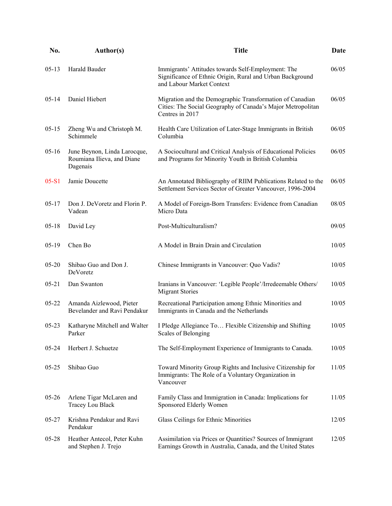| No.       | Author(s)                                                              | <b>Title</b>                                                                                                                                 | Date  |
|-----------|------------------------------------------------------------------------|----------------------------------------------------------------------------------------------------------------------------------------------|-------|
| $05-13$   | Harald Bauder                                                          | Immigrants' Attitudes towards Self-Employment: The<br>Significance of Ethnic Origin, Rural and Urban Background<br>and Labour Market Context | 06/05 |
| $05 - 14$ | Daniel Hiebert                                                         | Migration and the Demographic Transformation of Canadian<br>Cities: The Social Geography of Canada's Major Metropolitan<br>Centres in 2017   | 06/05 |
| $05 - 15$ | Zheng Wu and Christoph M.<br>Schimmele                                 | Health Care Utilization of Later-Stage Immigrants in British<br>Columbia                                                                     | 06/05 |
| $05-16$   | June Beynon, Linda Larocque,<br>Roumiana Ilieva, and Diane<br>Dagenais | A Sociocultural and Critical Analysis of Educational Policies<br>and Programs for Minority Youth in British Columbia                         | 06/05 |
| $05-S1$   | Jamie Doucette                                                         | An Annotated Bibliography of RIIM Publications Related to the<br>Settlement Services Sector of Greater Vancouver, 1996-2004                  | 06/05 |
| $05 - 17$ | Don J. DeVoretz and Florin P.<br>Vadean                                | A Model of Foreign-Born Transfers: Evidence from Canadian<br>Micro Data                                                                      | 08/05 |
| $05-18$   | David Ley                                                              | Post-Multiculturalism?                                                                                                                       | 09/05 |
| $05-19$   | Chen Bo                                                                | A Model in Brain Drain and Circulation                                                                                                       | 10/05 |
| $05 - 20$ | Shibao Guo and Don J.<br>DeVoretz                                      | Chinese Immigrants in Vancouver: Quo Vadis?                                                                                                  | 10/05 |
| $05 - 21$ | Dan Swanton                                                            | Iranians in Vancouver: 'Legible People'/Irredeemable Others/<br><b>Migrant Stories</b>                                                       | 10/05 |
| $05 - 22$ | Amanda Aizlewood, Pieter<br>Bevelander and Ravi Pendakur               | Recreational Participation among Ethnic Minorities and<br>Immigrants in Canada and the Netherlands                                           | 10/05 |
| $05 - 23$ | Katharyne Mitchell and Walter<br>Parker                                | I Pledge Allegiance To Flexible Citizenship and Shifting<br>Scales of Belonging                                                              | 10/05 |
| $05 - 24$ | Herbert J. Schuetze                                                    | The Self-Employment Experience of Immigrants to Canada.                                                                                      | 10/05 |
| $05 - 25$ | Shibao Guo                                                             | Toward Minority Group Rights and Inclusive Citizenship for<br>Immigrants: The Role of a Voluntary Organization in<br>Vancouver               | 11/05 |
| $05 - 26$ | Arlene Tigar McLaren and<br>Tracey Lou Black                           | Family Class and Immigration in Canada: Implications for<br>Sponsored Elderly Women                                                          | 11/05 |
| $05 - 27$ | Krishna Pendakur and Ravi<br>Pendakur                                  | Glass Ceilings for Ethnic Minorities                                                                                                         | 12/05 |
| $05 - 28$ | Heather Antecol, Peter Kuhn<br>and Stephen J. Trejo                    | Assimilation via Prices or Quantities? Sources of Immigrant<br>Earnings Growth in Australia, Canada, and the United States                   | 12/05 |